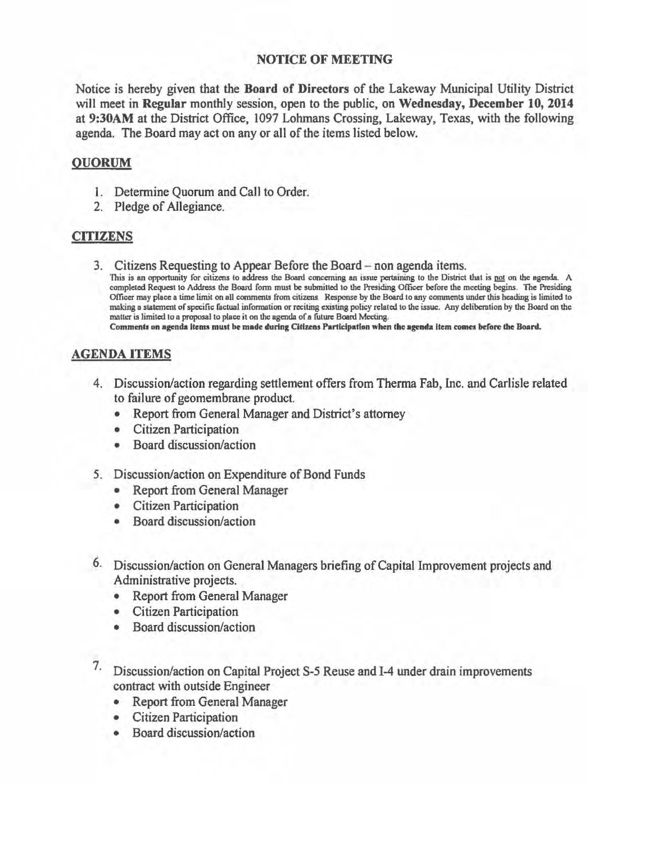## NOTICE OF MEETING

Notice is hereby given that the Board of Directors of the Lakeway Municipal Utility District will meet in Regular monthly session, open to the public, on Wednesday, December 10, 2014 at 9:30AM at the District Office, 1097 Lohmans Crossing, Lakeway, Texas, with the following agenda. The Board may act on any or all of the items listed below.

## QUORUM

- 1. Determine Quorum and Call to Order.
- 2. Pledge of Allegiance.

## CITIZENS

3. Citizens Requesting to Appear Before the Board - non agenda items.<br>This is an opportunity for citizens to address the Board concerning an issue pertaining to the District that is <u>not</u> on the agenda. A completed Request to Address the Board form must be submitted to the Presiding Officer before the meeting begins. The Presiding Officer may place a time limit on all comments from citizens Response by the Board to any comments under this heading is limited to making a statement of specific factual information or reciting existmg policy related to the issue. Any deliberntion by the Board on the matter is limited to a proposal to place it on the agenda of a future Board Meeting.

Comments on agenda items must be made during Citizens Participation when the agenda item comes before the Board.

## AGENDA ITEMS

- 4. Discussion/action regarding settlement offers from Therma Fab, Inc. and Carlisle related to failure of geomembrane product.
	- Report from General Manager and District's attorney
	- Citizen Participation
	- Board discussion/action
- *5.* Discussion/action on Expenditure of Bond Funds
	- Report from General Manager
	- Citizen Participation
	- Board discussion/action
- 6. Discussion/action on General Managers briefing of Capital Improvement projects and Administrative projects.
	- Report from General Manager
	- Citizen Participation
	- Board discussion/action
- 7· Discussion/action on Capital Project S-5 Reuse and 1-4 under drain improvements contract with outside Engineer
	- Report from General Manager
	- Citizen Participation
	- Board discussion/action